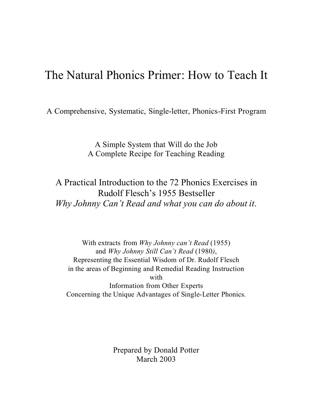# The Natural Phonics Primer: How to Teach It

A Comprehensive, Systematic, Single-letter, Phonics-First Program

A Simple System that Will do the Job A Complete Recipe for Teaching Reading

A Practical Introduction to the 72 Phonics Exercises in Rudolf Flesch's 1955 Bestseller *Why Johnny Can't Read and what you can do about it*.

With extracts from *Why Johnny can't Read* (1955) and *Why Johnny Still Can't Read* (1980*)*, Representing the Essential Wisdom of Dr. Rudolf Flesch in the areas of Beginning and Remedial Reading Instruction with Information from Other Experts Concerning the Unique Advantages of Single-Letter Phonics.

> Prepared by Donald Potter March 2003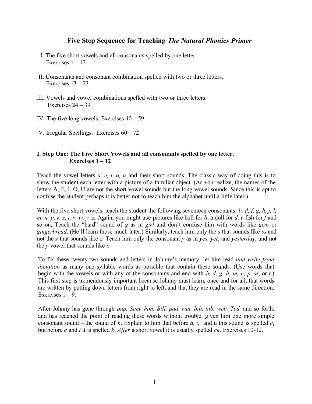## **Five Step Sequence for Teaching** *The Natural Phonics Primer*

- I. The five short vowels and all consonants spelled by one letter. Exercises  $1 - 12$
- II. Consonants and consonant combination spelled with two or three letters. Exercises  $13 - 23$
- III. Vowels and vowel combinations spelled with two or three letters. Exercises  $24 - 39$
- IV. The five long vowels. Exercises 40 59
- V. Irregular Spellings. Exercises 60 72

## **I. Step One: The Five Short Vowels and all consonants spelled by one letter. Exercises 1 – 12**

Teach the vowel letters *a, e, i, o, u* and their short sounds. The classic way of doing this is to show the student each letter with a picture of a familiar object. (As you realize, the names of the letters A, E, I, O, U are not the short vowel sounds but the long vowel sounds. Since this is apt to confuse the student perhaps it is better not to teach him the alphabet until a little later.)

With the five short vowels, teach the student the following seventeen consonants: *b, d, f, g, h, j, l, m, n, p, r, s, t, v, w, y, z.* Again, you might use pictures like bell for *b*, a doll for *d*, a fish for *f* and so on. Teach the "hard" sound of *g* as in *girl* and don't confuse him with words like *gem* or *gingerbread*. (He'll learn those much later.) Similarly, teach him only the *s* that sounds like *ss* and not the *s* that sounds like *z*. Teach him only the consonant *y* as in *yes, yet*, and *yesterday*, and not the *y* vowel that sounds like *i*.

To fix these twenty-two sounds and letters in Johnny's memory, let him read *and write from dictation* as many one-syllable words as possible that contain these sounds. (Use words that begin with the vowels or with any of the consonants and end with *b, d, g, ll, m, n, p, ss*, or *t*.) This first step is tremendously important because Johnny must learn, once and for all, that words are written by putting down letters from right to left, and that they are read in the same direction. Exercises  $1 - 9$ .

After Johnny has gone through *pup, Sam, him, Bill, pad, run, bib, tub, web, Ted,* and so forth, and has reached the point of reading these words without trouble, given him one more simple consonant sound – the sound of  $k$ . Explain to him that before  $a$ ,  $o$ , and  $u$  this sound is spelled  $c$ , but before *e* and *i* it is spelled *k*. *After* a short vowel it is usually spelled *ck*. Exercises 10-12.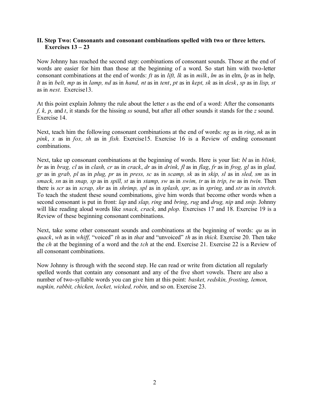## **II. Step Two: Consonants and consonant combinations spelled with two or three letters. Exercises 13 – 23**

Now Johnny has reached the second step: combinations of consonant sounds. Those at the end of words are easier for him than those at the beginning of a word. So start him with two-letter consonant combinations at the end of words: *ft* as in *lift, lk* as in *milk*, *lm* as in elm, *lp* as in help*, lt* as in *belt, mp* as in *lamp, nd* as in *hand, nt* as in *tent*, *pt* as in *kept, sk* as in *desk*, *sp* as in *lisp, st* as in *nest.* Exercise13.

At this point explain Johnny the rule about the letter *s* as the end of a word: After the consonants *f, k, p,* and *t*, it stands for the hissing *ss* sound, but after all other sounds it stands for the *z* sound. Exercise 14.

Next, teach him the following consonant combinations at the end of words: *ng* as in *ring*, *nk* as in *pink*, *x* as in *fox, sh* as in *fish.* Exercise15. Exercise 16 is a Review of ending consonant combinations.

Next, take up consonant combinations at the beginning of words. Here is your list: *bl* as in *blink, br* as in *brag, cl* as in *clash, cr* as in *crack*, *dr* as in *drink, fl* as in *flag*, *fr* as in *frog, gl* as in *glad, gr* as in *grab, pl* as in *plug, pr* as in *press, sc* as in *scamp, sk* as in *skip, sl* as in *sled, sm* as in *smack, sn* as in *snap, sp* as in *spill, st* as in *stamp, sw* as in *swim, tr* as in *trip, tw* as in *twin.* Then there is *scr* as in *scrap, shr* as in *shrimp, spl* as in *splash, spr,* as in *spring,* and *str* as in *stretch.*  To teach the student these sound combinations, give him words that become other words when a second consonant is put in front: *lap* and *slap, ring* and *bring*, *rug* and *drug, nip* and *snip.* Johnny will like reading aloud words like *snack, crack,* and *plop.* Exercises 17 and 18. Exercise 19 is a Review of these beginning consonant combinations.

Next, take some other consonant sounds and combinations at the beginning of words: *qu* as in *quack*, *wh* as in *whiff,* "voiced" *th* as in *that* and "unvoiced" *th* as in *thick.* Exercise 20. Then take the *ch* at the beginning of a word and the *tch* at the end. Exercise 21. Exercise 22 is a Review of all consonant combinations.

Now Johnny is through with the second step. He can read or write from dictation all regularly spelled words that contain any consonant and any of the five short vowels. There are also a number of two-syllable words you can give him at this point: *basket, redskin, frosting, lemon, napkin, rabbit, chicken, locket, wicked, robin,* and so on. Exercise 23.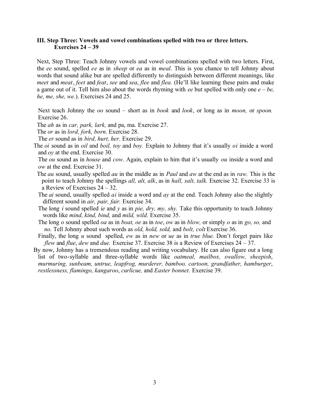## **III. Step Three: Vowels and vowel combinations spelled with two or three letters. Exercises 24 – 39**

Next, Step Three: Teach Johnny vowels and vowel combinations spelled with two letters. First, the *ee* sound, spelled *ee* as in *sheep* or *ea* as in *meal*. This is you chance to tell Johnny about words that sound alike but are spelled differently to distinguish between different meanings, like *meet* and *meat*, *feet* and *feat*, *see* and *sea*, *flee* and *flea.* (He'll like learning these pairs and make a game out of it. Tell him also about the words rhyming with *ee* but spelled with only one *e – be, he, me, she, we.*). Exercises 24 and 25.

Next teach Johnny the *oo* sound – short as in *book* and *look*, or long as in *moon,* or *spoon.* Exercise 26.

The *ah* as in *car, park, lark,* and pa, ma. Exercise 27.

The *or* as in *lord, fork, born*. Exercise 28.

The *er* sound as in *bird, hurt, her*. Exercise 29.

- The *oi* sound as in *oil* and *boil, toy* and *boy.* Explain to Johnny that it's usually *oi* inside a word and *oy* at the end. Exercise 30.
	- The *ou* sound as in *house* and *cow*. Again, explain to him that it's usually *ou* inside a word and *ow* at the end. Exercise 31.
	- The *au* sound, usually spelled *au* in the middle as in *Paul* and *aw* at the end as in *raw.* This is the point to teach Johnny the spellings *all, alt, alk*, as in *hall, salt, talk.* Exercise 32. Exercise 33 is a Review of Exercises 24 – 32.
	- The *ai* sound, usually spelled *ai* inside a word and *ay* at the end. Teach Johnny also the slightly different sound in *air, pair, fair.* Exercise 34.
	- The long *i* sound spelled *ie* and *y* as in *pie, dry, my, shy.* Take this opportunity to teach Johnny words like *mind, kind, bind,* and *mild, wild.* Exercise 35.
	- The long *o* sound spelled *oa* as in *boat, oe* as in *toe*, *ow* as in *blow,* or simply *o* as in *go, so,* and  *no.* Tell Johnny about such words as *old, hold, sold,* and *bolt, colt* Exercise 36.
	- Finally, the long *u* sound spelled, *ew* as in *new* or *ue* as in *true blue.* Don't forget pairs like *flew* and *flue*, *dew* and *due.* Exercise 37. Exercise 38 is a Review of Exercises 24 – 37.
- By now, Johnny has a tremendous reading and writing vocabulary. He can also figure out a long list of two-syllable and three-syllable words like *oatmeal, mailbox, swallow, sheepish*, *murmuring, sunbeam, untrue, leapfrog, murderer, bamboo, cartoon, grandfather, hamburger*, *restlessness, flamingo, kangaroo*, *curlicue,* and *Easter bonnet.* Exercise 39.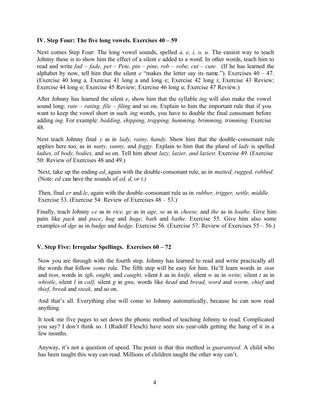### **IV. Step Four: The five long vowels. Exercises 40 – 59**

Next comes Step Four: The long vowel sounds, spelled *a, e, i, o, u.* The easiest way to teach Johnny these is to show him the effect of a silent *e* added to a word. In other words, teach him to read and write *fad – fade, pet – Pete, pin – pine, rob – robe, cut – cute.* (If he has learned the alphabet by now, tell him that the silent  $e$  "makes the letter say its name."). Exercises  $40 - 47$ . (Exercise 40 long a*,* Exercise 41 long a and long e; Exercise 42 long i; Exercise 43 Review; Exercise 44 long o; Exercise 45 Review; Exercise 46 long u; Exercise 47 Review.)

After Johnny has learned the silent *e*, show him that the syllable *ing* will also make the vowel sound long: *rate – rating, file – filing* and so on. Explain to him the important rule that if you want to keep the vowel short in such *ing* words, you have to double the final consonant before adding *ing*. For example: *bedding, shipping, trapping, humming, brimming, trimming.* Exercise 48.

Next teach Johnny final *y* as in *lady, rainy, handy.* Show him that the double-consonant rule applies here too, as in *nutty, sunny,* and *foggy.* Explain to him that the plural of *lady* is spelled *ladies,* of *body, bodies,* and so on. Tell him about *lazy, lazier, and laziest.* Exercise 49. (Exercise 50: Review of Exercises 48 and 49.)

Next, take up the ending *ed*, again with the double-consonant rule, as in *matted, rugged, robbed.* (Note: *ed* can have the sounds of *ed, d, or t.)*

Then, final *er* and *le*, again with the double-consonant rule as in *rubber, trigger, settle, middle.* Exercise 53. (Exercise 54: Review of Exercises 48 – 53.)

Finally, teach Johnny *ce* as in *rice, ge* as in *age, se* as in *cheese,* and *the* as in *loathe.* Give him pairs like *pack* and *pace*, *hug* and *huge, bath* and *bathe.* Exercise 55. Give him also some examples of *dge* as in *badge* and *hedge*. Exercise 56. (Exercise 57: Review of Exercises 55 – 56.)

## **V. Step Five: Irregular Spellings. Exercises 60 – 72**

Now you are through with the fourth step. Johnny has learned to read and write practically all the words that follow *some* rule. The fifth step will be easy for him. He'll learn words in *sion* and *tion*, words in *igh*, *ought,* and *caught,* silent *k* as in *knife,* silent *w* as in *write,* silent *t* as in *whistle*, silent *l* in *calf,* silent *g* in *gnu*, words like *head* and *bread, word* and *worm, chief* and *thief, break* and *steak,* and so on.

And that's all. Everything else will come to Johnny automatically, because he can now read anything.

It took me five pages to set down the phonic method of teaching Johnny to read. Complicated you say? I don't think so. I (Rudolf Flesch) have seen six- year-olds getting the hang of it in a few months.

Anyway, it's not a question of speed. The point is that this method is *guaranteed*. A child who has been taught this way can read. Millions of children taught the other way can't.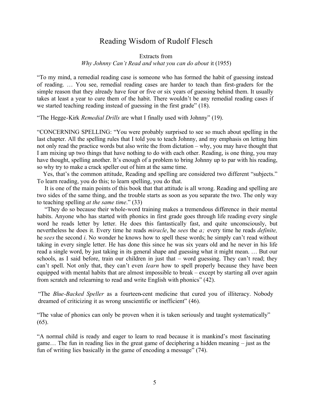## Reading Wisdom of Rudolf Flesch

## Extracts from *Why Johnny Can't Read and what you can do about* it (1955)

"To my mind, a remedial reading case is someone who has formed the habit of guessing instead of reading. … You see, remedial reading cases are harder to teach than first-graders for the simple reason that they already have four or five or six years of guessing behind them. It usually takes at least a year to cure them of the habit. There wouldn't be any remedial reading cases if we started teaching reading instead of guessing in the first grade" (18).

"The Hegge-Kirk *Remedial Drills* are what I finally used with Johnny" (19).

"CONCERNING SPELLING: "You were probably surprised to see so much about spelling in the last chapter. All the spelling rules that I told you to teach Johnny, and my emphasis on letting him not only read the practice words but also write the from dictation – why, you may have thought that I am mixing up two things that have nothing to do with each other. Reading, is one thing, you may have thought, spelling another. It's enough of a problem to bring Johnny up to par with his reading, so why try to make a crack speller out of him at the same time.

 Yes, that's the common attitude, Reading and spelling are considered two different "subjects." To learn reading, you do this; to learn spelling, you do that.

 It is one of the main points of this book that that attitude is all wrong. Reading and spelling are two sides of the same thing, and the trouble starts as soon as you separate the two. The only way to teaching spelling *at the same time*." (33)

 "They do so because their whole-word training makes a tremendous difference in their mental habits. Anyone who has started with phonics in first grade goes through life reading every single word he reads letter by letter. He does this fantastically fast, and quite unconsciously, but nevertheless he does it. Every time he reads *miracle*, he *sees* the *a;* every time he reads *definite,* he *sees* the second *i*. No wonder he knows how to spell these words; he simply can't read without taking in every single letter. He has done this since he was six years old and he never in his life read a single word, by just taking in its general shape and guessing what it might mean. … But our schools, as I said before, train our children in just that – word guessing. They can't read; they can't spell. Not only that, they can't even *learn* how to spell properly because they have been equipped with mental habits that are almost impossible to break – except by starting all over again from scratch and relearning to read and write English with phonics" (42).

"The *Blue-Backed Speller* as a fourteen-cent medicine that cured you of illiteracy. Nobody dreamed of criticizing it as wrong unscientific or inefficient" (46).

"The value of phonics can only be proven when it is taken seriously and taught systematically" (65).

"A normal child is ready and eager to learn to read because it is mankind's most fascinating game… The fun in reading lies in the great game of deciphering a hidden meaning – just as the fun of writing lies basically in the game of encoding a message" (74).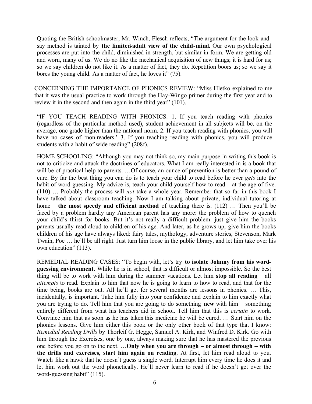Quoting the British schoolmaster, Mr. Winch, Flesch reflects, "The argument for the look-andsay method is tainted by **the limited-adult view of the child-mind.** Our own psychological processes are put into the child, diminished in strength, but similar in form. We are getting old and worn, many of us. We do no like the mechanical acquisition of new things; it is hard for us; so we say children do not like it. As a matter of fact, they do. Repetition boors us; so we say it bores the young child. As a matter of fact, he loves it" (75).

CONCERNING THE IMPORTANCE OF PHONICS REVIEW: "Miss Hletko explained to me that it was the usual practice to work through the Hay-Wingo primer during the first year and to review it in the second and then again in the third year" (101).

"IF YOU TEACH READING WITH PHONICS: 1. If you teach reading with phonics (regardless of the particular method used), student achievement in all subjects will be, on the average, one grade higher than the national norm. 2. If you teach reading with phonics, you will have no cases of 'non-readers.' 3. If you teaching reading with phonics, you will produce students with a habit of wide reading" (208f).

HOME SCHOOLING: "Although you may not think so, my main purpose in writing this book is not to criticize and attack the doctrines of educators. What I am really interested in is a book that will be of practical help to parents. ... Of course, an ounce of prevention is better than a pound of cure. By far the best thing you can do is to teach your child to read before he ever *gets* into the habit of word guessing. My advice is, teach your child yourself how to read – at the age of five. (110) … Probably the process will *not* take a whole year. Remember that so far in this book I have talked about classroom teaching. Now I am talking about private, individual tutoring at home – **the most speedy and efficient method** of teaching there is. (112) … Then you'll be faced by a problem hardly any American parent has any more: the problem of how to quench your child's thirst for books. But it's not really a difficult problem: just give him the books parents usually read aloud to children of his age. And later, as he grows up, give him the books children of his age have always liked: fairy tales, mythology, adventure stories, Stevenson, Mark Twain, Poe … he'll be all right. Just turn him loose in the public library, and let him take over his own education" (113).

REMEDIAL READING CASES: "To begin with, let's try **to isolate Johnny from his wordguessing environment**. While he is in school, that is difficult or almost impossible. So the best thing will be to work with him during the summer vacations. Let him **stop all reading** – all *attempts* to read. Explain to him that now he is going to learn to how to read, and that for the time being, books are out. All he'll get for several months are lessons in phonics. … This, incidentally, is important. Take him fully into your confidence and explain to him exactly what you are trying to do. Tell him that you are going to do something **new** with him – something entirely different from what his teachers did in school. Tell him that this is *certain* to work. Convince him that as soon as he has taken this medicine he will be cured. … Start him on the phonics lessons. Give him either this book or the only other book of that type that I know: *Remedial Reading Drills* by Thorleif G. Hegge, Samuel A. Kirk, and Winfred D. Kirk. Go with him through the Exercises, one by one, always making sure that he has mastered the previous one before you go on to the next. …**Only when you are through – or almost through – with the drills and exercises, start him again on reading**. At first, let him read aloud to you. Watch like a hawk that he doesn't guess a single word. Interrupt him every time he does it and let him work out the word phonetically. He'll never learn to read if he doesn't get over the word-guessing habit" (115).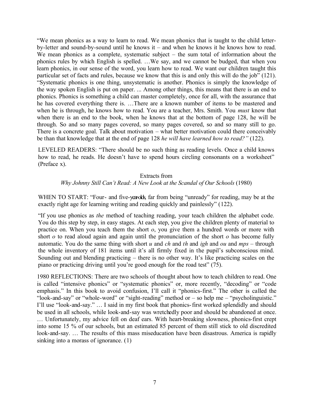"We mean phonics as a way to learn to read. We mean phonics that is taught to the child letterby-letter and sound-by-sound until he knows it – and when he knows it he knows how to read. We mean phonics as a complete, systematic subject – the sum total of information about the phonics rules by which English is spelled. …We say, and we cannot be budged, that when you learn phonics, in our sense of the word, you learn how to read. We want our children taught this particular set of facts and rules, because we know that this is and only this will do the job" (121). "Systematic phonics is one thing, unsystematic is another. Phonics is simply the knowledge of the way spoken English is put on paper. ... Among other things, this means that there is an end to phonics. Phonics is something a child can master completely, once for all, with the assurance that he has covered everything there is. …There are a known number of items to be mastered and when he is through, he knows how to read. You are a teacher, Mrs. Smith. You *must* know that when there is an end to the book, when he knows that at the bottom of page 128, he will be through. So and so many pages covered, so many pages covered, so and so many still to go. There is a concrete goal. Talk about motivation – what better motivation could there conceivably be than that knowledge that at the end of page 128 *he will have learned how to read?"* (122).

LEVELED READERS: "There should be no such thing as reading levels. Once a child knows how to read, he reads. He doesn't have to spend hours circling consonants on a worksheet" (Preface x).

#### Extracts from

#### *Why Johnny Still Can't Read: A New Look at the Scandal of Our Schools* (1980)

WHEN TO START: "Four- and five-year-olds, far from being "unready" for reading, may be at the exactly right age for learning writing and reading quickly and painlessly" (122).

"If you use phonics as *the* method of teaching reading, your teach children the alphabet code. You do this step by step, in easy stages. At each step, you give the children plenty of material to practice on. When you teach them the short *o*, you give them a hundred words or more with short *o* to read aloud again and again until the pronunciation of the short *o* has become fully automatic. You do the same thing with short *u* and *ch* and *th* and *igh* and *ou* and *mps* – through the whole inventory of 181 items until it's all firmly fixed in the pupil's subconscious mind. Sounding out and blending practicing – there is no other way. It's like practicing scales on the piano or practicing driving until you're good enough for the road test" (75).

1980 REFLECTIONS: There are two schools of thought about how to teach children to read. One is called "intensive phonics" or "systematic phonics" or, more recently, "decoding" or "code emphasis." In this book to avoid confusion, I'll call it "phonics-first." The other is called the "look-and-say" or "whole-word" or "sight-reading" method or – so help me – "psycholinguistic." I'll use "look-and-say." … I said in my first book that phonics-first worked splendidly and should be used in all schools, while look-and-say was wretchedly poor and should be abandoned at once. … Unfortunately, my advice fell on deaf ears. With heart-breaking slowness, phonics-first crept into some 15 % of our schools, but an estimated 85 percent of them still stick to old discredited look-and-say. … The results of this mass miseducation have been disastrous. America is rapidly sinking into a morass of ignorance. (1)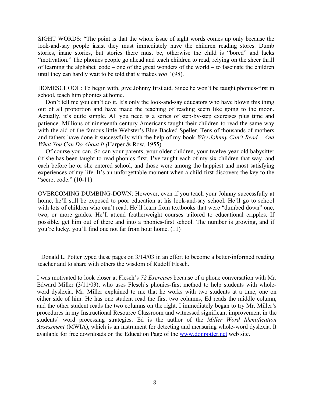SIGHT WORDS: "The point is that the whole issue of sight words comes up only because the look-and-say people insist they must immediately have the children reading stores. Dumb stories, inane stories, but stories there must be, otherwise the child is "bored" and lacks "motivation." The phonics people go ahead and teach children to read, relying on the sheer thrill of learning the alphabet code – one of the great wonders of the world – to fascinate the children until they can hardly wait to be told that *u* makes *yoo"* (98).

HOMESCHOOL: To begin with, give Johnny first aid. Since he won't be taught phonics-first in school, teach him phonics at home.

 Don't tell me you can't do it. It's only the look-and-say educators who have blown this thing out of all proportion and have made the teaching of reading seem like going to the moon. Actually, it's quite simple. All you need is a series of step-by-step exercises plus time and patience. Millions of nineteenth century Americans taught their children to read the same way with the aid of the famous little Webster's Blue-Backed Speller. Tens of thousands of mothers and fathers have done it successfully with the help of my book *Why Johnny Can't Read – And What You Can Do About It (*Harper & Row, 1955).

 Of course you can. So can your parents, your older children, your twelve-year-old babysitter (if she has been taught to read phonics-first. I've taught each of my six children that way, and each before he or she entered school, and those were among the happiest and most satisfying experiences of my life. It's an unforgettable moment when a child first discovers the key to the "secret code." (10-11)

OVERCOMING DUMBING-DOWN: However, even if you teach your Johnny successfully at home, he'll still be exposed to poor education at his look-and-say school. He'll go to school with lots of children who can't read. He'll learn from textbooks that were "dumbed down" one, two, or more grades. He'll attend featherweight courses tailored to educational cripples. If possible, get him out of there and into a phonics-first school. The number is growing, and if you're lucky, you'll find one not far from hour home. (11)

 Donald L. Potter typed these pages on 3/14/03 in an effort to become a better-informed reading teacher and to share with others the wisdom of Rudolf Flesch.

I was motivated to look closer at Flesch's *72 Exercises* because of a phone conversation with Mr. Edward Miller (3/11/03), who uses Flesch's phonics-first method to help students with wholeword dyslexia. Mr. Miller explained to me that he works with two students at a time, one on either side of him. He has one student read the first two columns, Ed reads the middle column, and the other student reads the two columns on the right. I immediately began to try Mr. Miller's procedures in my Instructional Resource Classroom and witnessed significant improvement in the students' word processing strategies. Ed is the author of the *Miller Word Identification Assessment* (MWIA), which is an instrument for detecting and measuring whole-word dyslexia. It available for free downloads on the Education Page of the www.donpotter.net web site.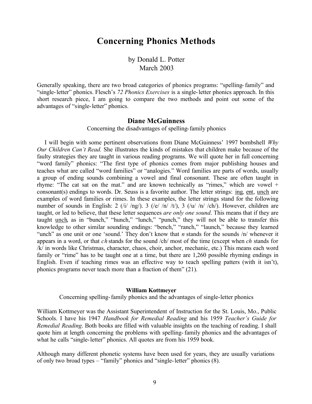## **Concerning Phonics Methods**

by Donald L. Potter March 2003

Generally speaking, there are two broad categories of phonics programs: "spelling- family" and "single-letter" phonics. Flesch's *72 Phonics Exercises* is a single-letter phonics approach. In this short research piece, I am going to compare the two methods and point out some of the advantages of "single-letter" phonics.

#### **Diane McGuinness**

Concerning the disadvantages of spelling-family phonics

 I will begin with some pertinent observations from Diane McGuinness' 1997 bombshell *Why Our Children Can't Read.* She illustrates the kinds of mistakes that children make because of the faulty strategies they are taught in various reading programs. We will quote her in full concerning "word family" phonics: "The first type of phonics comes from major publishing houses and teaches what are called "word families" or "analogies." Word families are parts of words, usually a group of ending sounds combining a vowel and final consonant. These are often taught in rhyme: "The cat sat on the mat." and are known technically as "rimes," which are vowel + consonant(s) endings to words. Dr. Seuss is a favorite author. The letter strings: ing, ent, unch are examples of word families or rimes. In these examples, the letter strings stand for the following number of sounds in English: 2 (/i/ /ng/). 3 (/e/ /n/ /t/), 3 (/u/ /n/ /ch/). However, children are taught, or led to believe, that these letter sequences *are only one sound*. This means that if they are taught unch, as in "bunch," "hunch," "lunch," "punch," they will not be able to transfer this knowledge to other similar sounding endings: "bench," "ranch," "launch," because they learned "unch" as one unit or one 'sound.' They don't know that *n* stands for the sounds /n/ whenever it appears in a word, or that *ch* stands for the sound /ch/ most of the time (except when *ch* stands for /k/ in words like Christmas, character, chaos, choir, anchor, mechanic, etc.) This means each word family or "rime" has to be taught one at a time, but there are 1,260 possible rhyming endings in English. Even if teaching rimes was an effective way to teach spelling patters (with it isn't), phonics programs never teach more than a fraction of them" (21).

#### **William Kottmeyer**

Concerning spelling-family phonics and the advantages of single-letter phonics

William Kottmeyer was the Assistant Superintendent of Instruction for the St. Louis, Mo., Public Schools. I have his 1947 *Handbook for Remedial Reading* and his 1959 *Teacher's Guide for Remedial Reading*. Both books are filled with valuable insights on the teaching of reading. I shall quote him at length concerning the problems with spelling-family phonics and the advantages of what he calls "single-letter" phonics. All quotes are from his 1959 book.

Although many different phonetic systems have been used for years, they are usually variations of only two broad types – "family" phonics and "single-letter" phonics (8).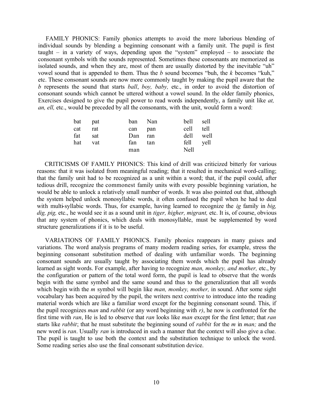FAMILY PHONICS: Family phonics attempts to avoid the more laborious blending of individual sounds by blending a beginning consonant with a family unit. The pupil is first taught – in a variety of ways, depending upon the "system" employed – to associate the consonant symbols with the sounds represented. Sometimes these consonants are memorized as isolated sounds, and when they are, most of them are usually distorted by the inevitable "uh" vowel sound that is appended to them. Thus the *b* sound becomes "buh, the *k* becomes "kuh," etc. These consonant sounds are now more commonly taught by making the pupil aware that the *b* represents the sound that starts *ball*, *boy, baby,* etc., in order to avoid the distortion of consonant sounds which cannot be uttered without a vowel sound. In the older family phonics, Exercises designed to give the pupil power to read words independently, a family unit like *at, an, ell,* etc., would be preceded by all the consonants, with the unit, would form a word:

|     | bat pat | ban Nan | bell sell |  |
|-----|---------|---------|-----------|--|
| cat | rat     | can pan | cell tell |  |
| fat | sat     | Dan ran | dell well |  |
| hat | vat     | fan tan | fell yell |  |
|     |         | man     | Nell      |  |

CRITICISMS OF FAMILY PHONICS: This kind of drill was criticized bitterly for various reasons: that it was isolated from meaningful reading; that it resulted in mechanical word-calling; that the family unit had to be recognized as a unit within a word; that, if the pupil could, after tedious drill, recognize the commonest family units with every possible beginning variation, he would be able to unlock a relatively small number of words. It was also pointed out that, although the system helped unlock monosyllabic words, it often confused the pupil when he had to deal with multi-syllabic words. Thus, for example, having learned to recognize the *ig* family in *big, dig, pig,* etc., he would see it as a sound unit in *tiger, higher, migrant,* etc. It is, of course, obvious that any system of phonics, which deals with monosyllable, must be supplemented by word structure generalizations if it is to be useful.

VARIATIONS OF FAMILY PHONICS. Family phonics reappears in many guises and variations. The word analysis programs of many modern reading series, for example, stress the beginning consonant substitution method of dealing with unfamiliar words. The beginning consonant sounds are usually taught by associating them words which the pupil has already learned as sight words. For example, after having to recognize *man, monkey, and mother,* etc., by the configuration or pattern of the total word form, the pupil is lead to observe that the words begin with the same symbol and the same sound and thus to the generalization that all words which begin with the *m* symbol will begin like *man, monkey, mother,* in sound. After some sight vocabulary has been acquired by the pupil, the writers next contrive to introduce into the reading material words which are like a familiar word except for the beginning consonant sound. This, if the pupil recognizes *man* and *rabbit* (or any word beginning with *r)*, he now is confronted for the first time with *ran*, He is led to observe that *ran* looks like *man* except for the first letter; that *ran*  starts like *rabbit*; that he must substitute the beginning sound of *rabbit* for the *m* in *man;* and the new word is *ran*. Usually *ran* is introduced in such a manner that the context will also give a clue. The pupil is taught to use both the context and the substitution technique to unlock the word. Some reading series also use the final consonant substitution device.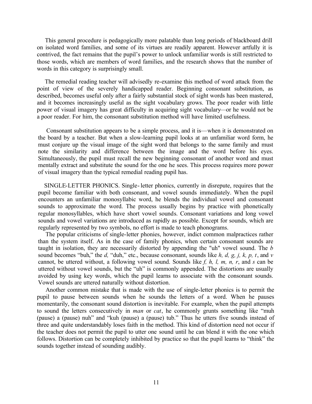This general procedure is pedagogically more palatable than long periods of blackboard drill on isolated word families, and some of its virtues are readily apparent. However artfully it is contrived, the fact remains that the pupil's power to unlock unfamiliar words is still restricted to those words, which are members of word families, and the research shows that the number of words in this category is surprisingly small.

The remedial reading teacher will advisedly re-examine this method of word attack from the point of view of the severely handicapped reader. Beginning consonant substitution, as described, becomes useful only after a fairly substantial stock of sight words has been mastered, and it becomes increasingly useful as the sight vocabulary grows. The poor reader with little power of visual imagery has great difficulty in acquiring sight vocabulary—or he would not be a poor reader. For him, the consonant substitution method will have limited usefulness.

Consonant substitution appears to be a simple process, and it is—when it is demonstrated on the board by a teacher. But when a slow-learning pupil looks at an unfamiliar word form, he must conjure up the visual image of the sight word that belongs to the same family and must note the similarity and difference between the image and the word before his eyes. Simultaneously, the pupil must recall the new beginning consonant of another word and must mentally extract and substitute the sound for the one he sees. This process requires more power of visual imagery than the typical remedial reading pupil has.

SINGLE-LETTER PHONICS. Single-letter phonics, currently in disrepute, requires that the pupil become familiar with both consonant, and vowel sounds immediately. When the pupil encounters an unfamiliar monosyllabic word, he blends the individual vowel and consonant sounds to approximate the word. The process usually begins by practice with phonetically regular monosyllables, which have short vowel sounds. Consonant variations and long vowel sounds and vowel variations are introduced as rapidly as possible. Except for sounds, which are regularly represented by two symbols, no effort is made to teach phonograms.

 The popular criticisms of single-letter phonies, however, indict common malpractices rather than the system itself. As in the case of family phonics, when certain consonant sounds are taught in isolation, they are necessarily distorted by appending the "uh" vowel sound. The *b*  sound becomes "buh," the *d,* "duh," etc., because consonant, sounds like *h, d, g, j, k, p, t*, and *v*  cannot, be uttered without, a following vowel sound. Sounds like *f, h, l, m, n, r*, and *s* can be uttered without vowel sounds, but the "uh" is commonly appended. The distortions are usually avoided by using key words, which the pupil learns to associate with the consonant sounds. Vowel sounds are uttered naturally without distortion.

Another common mistake that is made with the use of single-letter phonics is to permit the pupil to pause between sounds when he sounds the letters of a word. When he pauses momentarily, the consonant sound distortion is inevitable. For example, when the pupil attempts to sound the letters consecutively in *man* or *cat*, he commonly grunts something like "muh (pause) a (pause) nuh" and "kuh (pause) a (pause) tub." Thus he utters five sounds instead of three and quite understandably loses faith in the method. This kind of distortion need not occur if the teacher does not permit the pupil to utter one sound until he can blend it with the one which follows. Distortion can be completely inhibited by practice so that the pupil learns to "think" the sounds together instead of sounding audibly.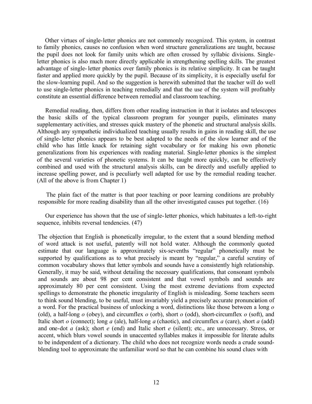Other virtues of single-letter phonics are not commonly recognized. This system, in contrast to family phonics, causes no confusion when word structure generalizations are taught, because the pupil does not look for family units which are often crossed by syllabic divisions. Singleletter phonics is also much more directly applicable in strengthening spelling skills. The greatest advantage of single- letter phonics over family phonics is its relative simplicity. It can be taught faster and applied more quickly by the pupil. Because of its simplicity, it is especially useful for the slow-learning pupil. And so the suggestion is herewith submitted that the teacher will do well to use single-letter phonics in teaching remedially and that the use of the system will profitably constitute an essential difference between remedial and classroom teaching.

Remedial reading, then, differs from other reading instruction in that it isolates and telescopes the basic skills of the typical classroom program for younger pupils, eliminates many supplementary activities, and stresses quick mastery of the phonetic and structural analysis skills. Although any sympathetic individualized teaching usually results in gains in reading skill, the use of single- letter phonics appears to be best adapted to the needs of the slow learner and of the child who has little knack for retaining sight vocabulary or for making his own phonetic generalizations from his experiences with reading material. Single-letter phonics is the simplest of the several varieties of phonetic systems. It can be taught more quickly, can be effectively combined and used with the structural analysis skills, can be directly and usefully applied to increase spelling power, and is peculiarly well adapted for use by the remedial reading teacher. (All of the above is from Chapter 1)

The plain fact of the matter is that poor teaching or poor learning conditions are probably responsible for more reading disability than all the other investigated causes put together. (16)

Our experience has shown that the use of single-letter phonics, which habituates a left-to-right sequence, inhibits reversal tendencies.  $(47)$ 

The objection that English is phonetically irregular, to the extent that a sound blending method of word attack is not useful, patently will not hold water. Although the commonly quoted estimate that our language is approximately six-sevenths "regular" phonetically must be supported by qualifications as to what precisely is meant by "regular," a careful scrutiny of common vocabulary shows that letter symbols and sounds have a consistently high relationship. Generally, it may be said, without detailing the necessary qualifications, that consonant symbols and sounds are about 98 per cent consistent and that vowel symbols and sounds are approximately 80 per cent consistent. Using the most extreme deviations from expected spellings to demonstrate the phonetic irregularity of English is misleading. Some teachers seem to think sound blending, to be useful, must invariably yield a precisely accurate pronunciation of a word. For the practical business of unlocking a word, distinctions like those between a long *o* (old), a half-long *o* (obey), and circumflex *o* (orb), short *o* (odd), short-circumflex *o* (soft), and Italic short *o* (connect); long *a* (ale), half-long *a* (chaotic), and circumflex *a* (care), short *a* (add) and one-dot *a* (ask); short *e* (end) and Italic short *e* (silent); etc., are unnecessary. Stress, or accent, which blurs vowel sounds in unaccented syllables makes it impossible for literate adults to be independent of a dictionary. The child who does not recognize words needs a crude soundblending tool to approximate the unfamiliar word so that he can combine his sound clues with